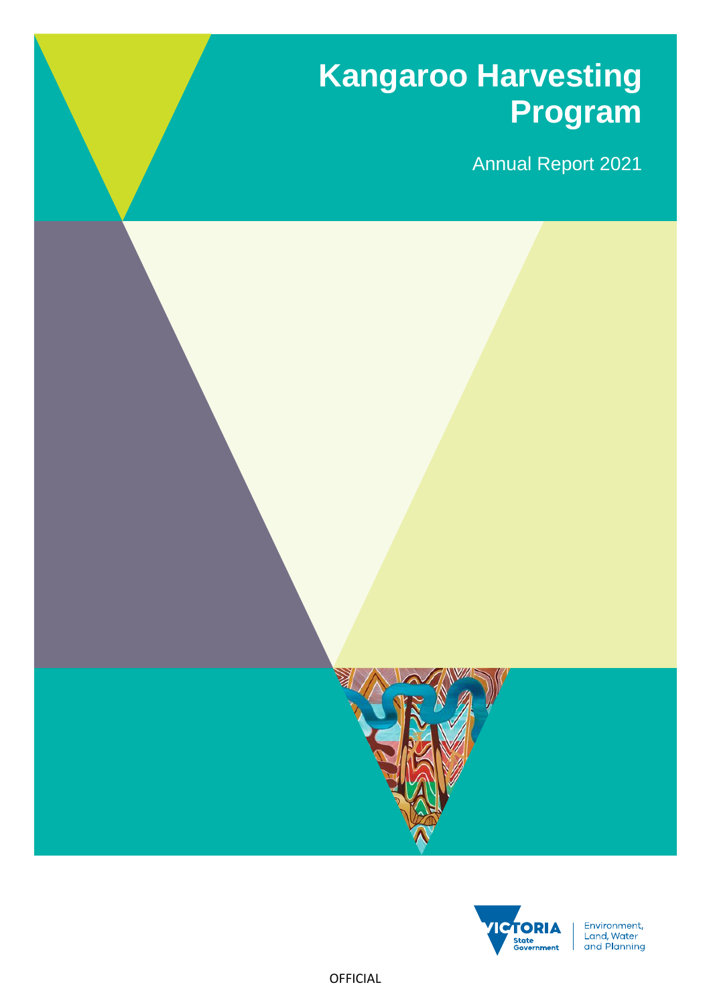# **Kangaroo Harvesting Program**

Annual Report 2021





Environment, Livitorinent,<br>Land, Water<br>and Planning

OFFICIAL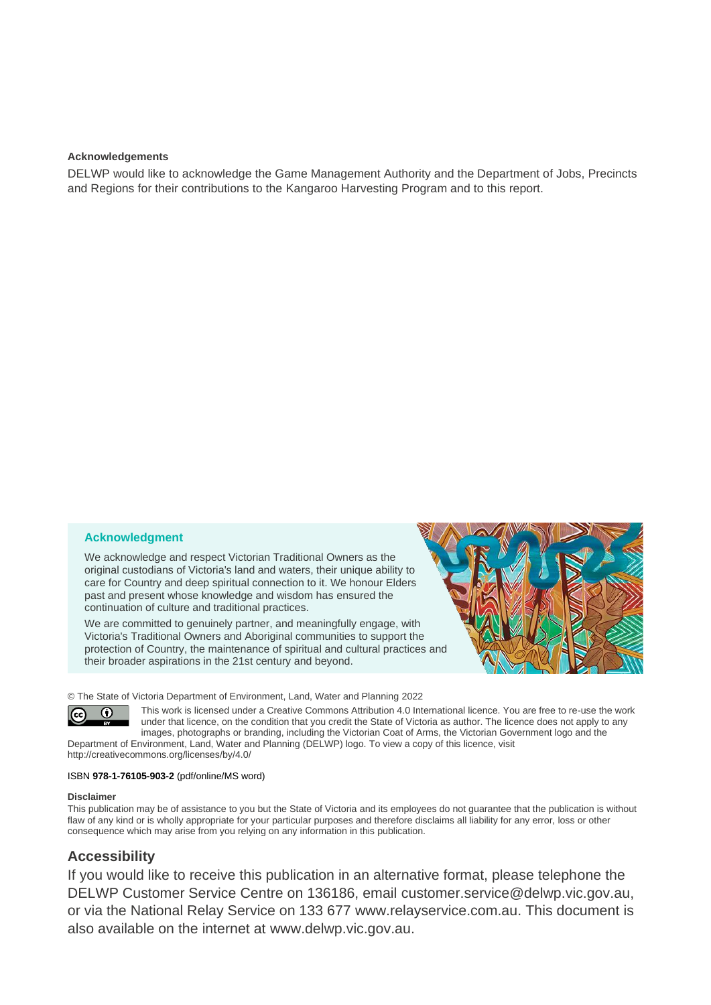#### **Acknowledgements**

DELWP would like to acknowledge the Game Management Authority and the Department of Jobs, Precincts and Regions for their contributions to the Kangaroo Harvesting Program and to this report.

#### **Acknowledgment**

We acknowledge and respect Victorian Traditional Owners as the original custodians of Victoria's land and waters, their unique ability to care for Country and deep spiritual connection to it. We honour Elders past and present whose knowledge and wisdom has ensured the continuation of culture and traditional practices.

We are committed to genuinely partner, and meaningfully engage, with Victoria's Traditional Owners and Aboriginal communities to support the protection of Country, the maintenance of spiritual and cultural practices and their broader aspirations in the 21st century and beyond.



© The State of Victoria Department of Environment, Land, Water and Planning 2022



This work is licensed under a Creative Commons Attribution 4.0 International licence. You are free to re-use the work under that licence, on the condition that you credit the State of Victoria as author. The licence does not apply to any images, photographs or branding, including the Victorian Coat of Arms, the Victorian Government logo and the Department of Environment, Land, Water and Planning (DELWP) logo. To view a copy of this licence, visit

<http://creativecommons.org/licenses/by/4.0/>

#### ISBN **978-1-76105-903-2** (pdf/online/MS word)

#### **Disclaimer**

This publication may be of assistance to you but the State of Victoria and its employees do not guarantee that the publication is without flaw of any kind or is wholly appropriate for your particular purposes and therefore disclaims all liability for any error, loss or other consequence which may arise from you relying on any information in this publication.

### **Accessibility**

If you would like to receive this publication in an alternative format, please telephone the DELWP Customer Service Centre on 136186, email [customer.service@delwp.vic.gov.au,](mailto:customer.service@delwp.vic.gov.au) or via the National Relay Service on 133 677 [www.relayservice.com.au.](http://www.relayservice.com.au/) This document is also available on the internet at [www.delwp.vic.gov.au.](http://www.delwp.vic.gov.au/)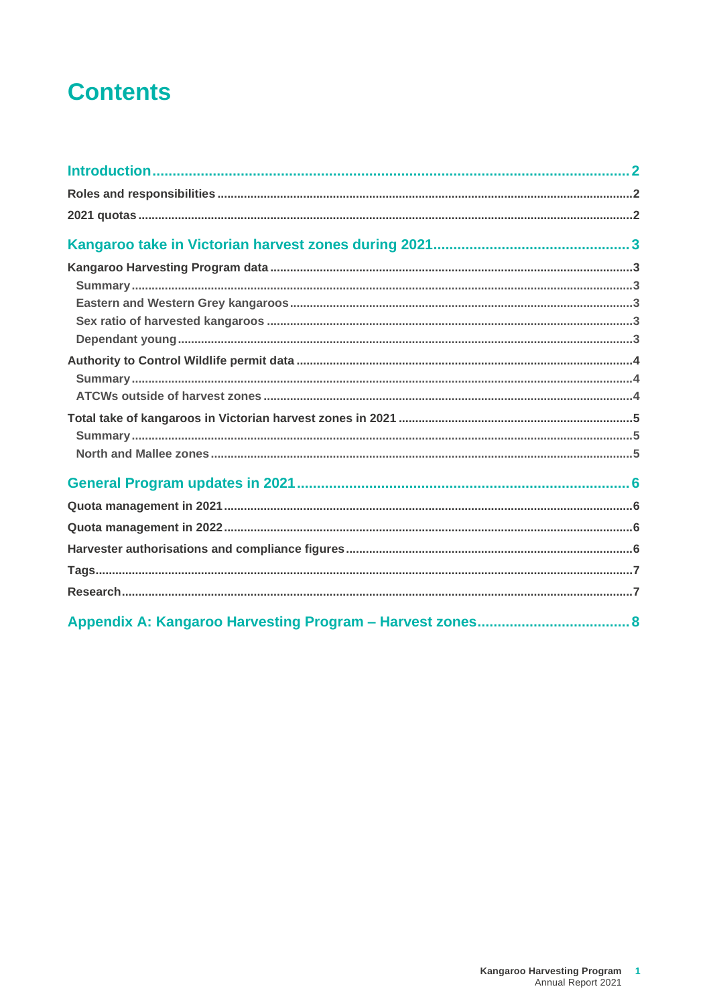# **Contents**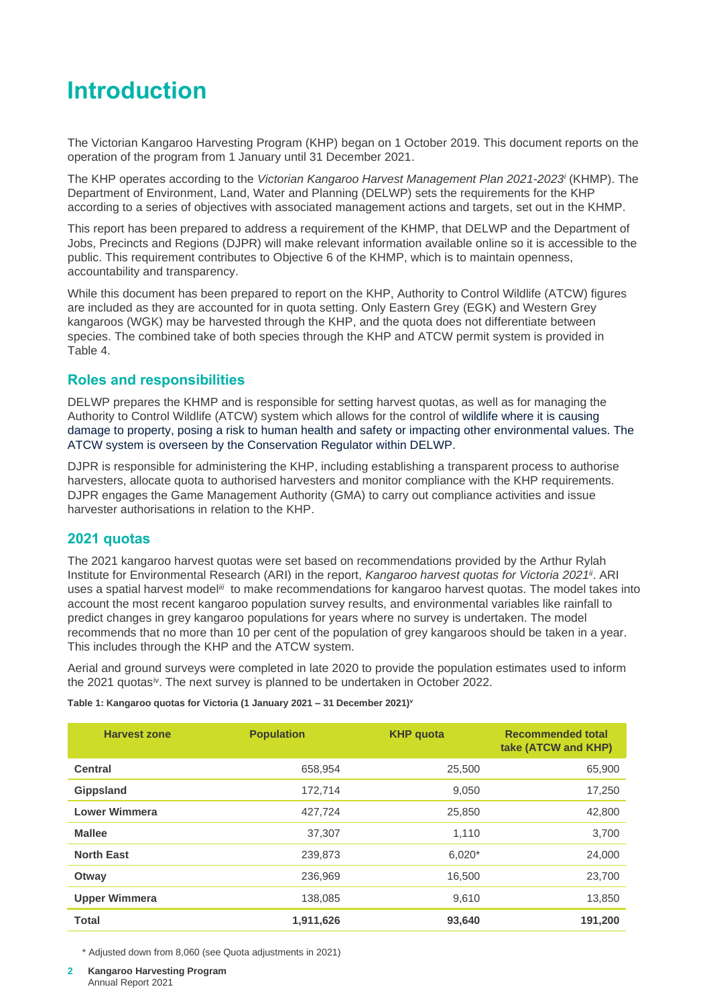# <span id="page-3-0"></span>**Introduction**

The Victorian Kangaroo Harvesting Program (KHP) began on 1 October 2019. This document reports on the operation of the program from 1 January until 31 December 2021.

The KHP operates according to the *Victorian Kangaroo Harvest Management Plan 2021-2023<sup>i</sup>* (KHMP). The Department of Environment, Land, Water and Planning (DELWP) sets the requirements for the KHP according to a series of objectives with associated management actions and targets, set out in the KHMP.

This report has been prepared to address a requirement of the KHMP, that DELWP and the Department of Jobs, Precincts and Regions (DJPR) will make relevant information available online so it is accessible to the public. This requirement contributes to Objective 6 of the KHMP, which is to maintain openness, accountability and transparency.

While this document has been prepared to report on the KHP, Authority to Control Wildlife (ATCW) figures are included as they are accounted for in quota setting. Only Eastern Grey (EGK) and Western Grey kangaroos (WGK) may be harvested through the KHP, and the quota does not differentiate between species. The combined take of both species through the KHP and ATCW permit system is provided in Table 4.

# <span id="page-3-1"></span>**Roles and responsibilities**

DELWP prepares the KHMP and is responsible for setting harvest quotas, as well as for managing the Authority to Control Wildlife (ATCW) system which allows for the control of wildlife where it is causing damage to property, posing a risk to human health and safety or impacting other environmental values. The ATCW system is overseen by the Conservation Regulator within DELWP.

DJPR is responsible for administering the KHP, including establishing a transparent process to authorise harvesters, allocate quota to authorised harvesters and monitor compliance with the KHP requirements. DJPR engages the Game Management Authority (GMA) to carry out compliance activities and issue harvester authorisations in relation to the KHP.

# <span id="page-3-2"></span>**2021 quotas**

The 2021 kangaroo harvest quotas were set based on recommendations provided by the Arthur Rylah Institute for Environmental Research (ARI) in the report, *Kangaroo harvest quotas for Victoria 2021ii*. ARI uses a spatial harvest model*iii* to make recommendations for kangaroo harvest quotas. The model takes into account the most recent kangaroo population survey results, and environmental variables like rainfall to predict changes in grey kangaroo populations for years where no survey is undertaken. The model recommends that no more than 10 per cent of the population of grey kangaroos should be taken in a year. This includes through the KHP and the ATCW system.

Aerial and ground surveys were completed in late 2020 to provide the population estimates used to inform the 2021 quotas<sup>iv</sup>. The next survey is planned to be undertaken in October 2022.

**Table 1: Kangaroo quotas for Victoria (1 January 2021 – 31 December 2021)<sup>v</sup>**

| <b>Harvest zone</b>  | <b>Population</b> | <b>KHP</b> quota | <b>Recommended total</b><br>take (ATCW and KHP) |
|----------------------|-------------------|------------------|-------------------------------------------------|
| <b>Central</b>       | 658,954           | 25,500           | 65,900                                          |
| Gippsland            | 172,714           | 9,050            | 17,250                                          |
| <b>Lower Wimmera</b> | 427,724           | 25,850           | 42,800                                          |
| <b>Mallee</b>        | 37,307            | 1,110            | 3,700                                           |
| <b>North East</b>    | 239,873           | $6,020*$         | 24,000                                          |
| Otway                | 236,969           | 16,500           | 23,700                                          |
| <b>Upper Wimmera</b> | 138,085           | 9,610            | 13,850                                          |
| <b>Total</b>         | 1,911,626         | 93,640           | 191,200                                         |

\* Adjusted down from 8,060 (see Quota adjustments in 2021)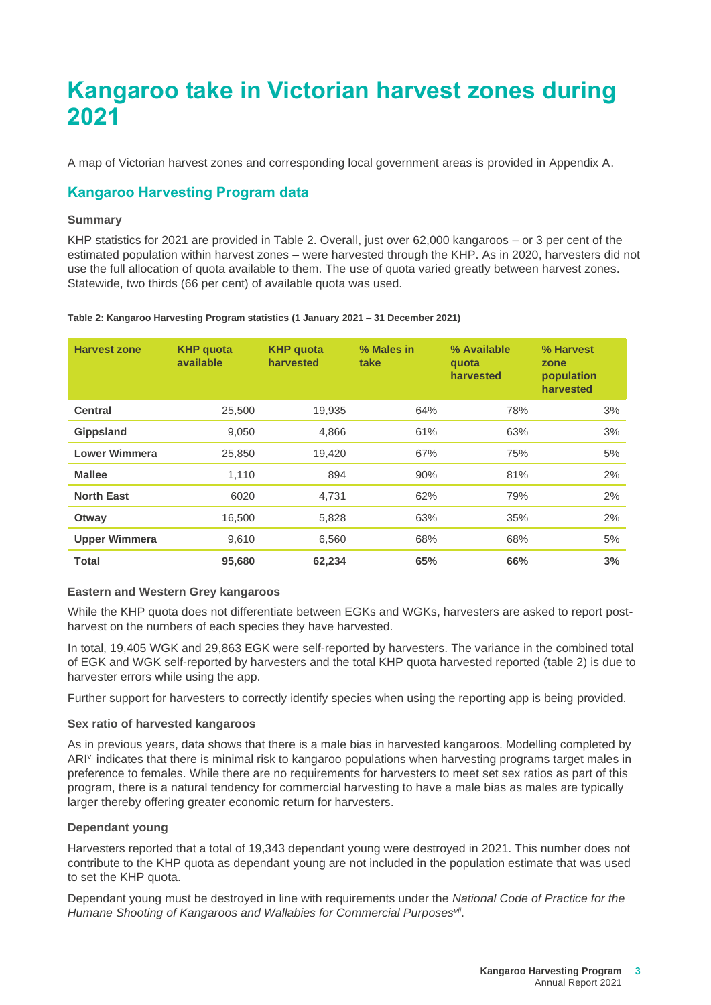# <span id="page-4-0"></span>**Kangaroo take in Victorian harvest zones during 2021**

A map of Victorian harvest zones and corresponding local government areas is provided in Appendix A.

# <span id="page-4-1"></span>**Kangaroo Harvesting Program data**

### <span id="page-4-2"></span>**Summary**

KHP statistics for 2021 are provided in Table 2. Overall, just over 62,000 kangaroos – or 3 per cent of the estimated population within harvest zones – were harvested through the KHP. As in 2020, harvesters did not use the full allocation of quota available to them. The use of quota varied greatly between harvest zones. Statewide, two thirds (66 per cent) of available quota was used.

**Table 2: Kangaroo Harvesting Program statistics (1 January 2021 – 31 December 2021)**

| <b>Harvest zone</b>  | <b>KHP</b> quota<br>available | <b>KHP</b> quota<br>harvested | % Males in<br>take | % Available<br>quota<br>harvested | % Harvest<br>zone<br>population<br>harvested |
|----------------------|-------------------------------|-------------------------------|--------------------|-----------------------------------|----------------------------------------------|
| <b>Central</b>       | 25,500                        | 19,935                        | 64%                | 78%                               | 3%                                           |
| Gippsland            | 9,050                         | 4,866                         | 61%                | 63%                               | 3%                                           |
| <b>Lower Wimmera</b> | 25,850                        | 19,420                        | 67%                | 75%                               | 5%                                           |
| <b>Mallee</b>        | 1,110                         | 894                           | 90%                | 81%                               | 2%                                           |
| <b>North East</b>    | 6020                          | 4,731                         | 62%                | 79%                               | 2%                                           |
| Otway                | 16,500                        | 5,828                         | 63%                | 35%                               | 2%                                           |
| <b>Upper Wimmera</b> | 9,610                         | 6,560                         | 68%                | 68%                               | 5%                                           |
| <b>Total</b>         | 95,680                        | 62,234                        | 65%                | 66%                               | 3%                                           |

#### <span id="page-4-3"></span>**Eastern and Western Grey kangaroos**

While the KHP quota does not differentiate between EGKs and WGKs, harvesters are asked to report postharvest on the numbers of each species they have harvested.

In total, 19,405 WGK and 29,863 EGK were self-reported by harvesters. The variance in the combined total of EGK and WGK self-reported by harvesters and the total KHP quota harvested reported (table 2) is due to harvester errors while using the app.

Further support for harvesters to correctly identify species when using the reporting app is being provided.

### <span id="page-4-4"></span>**Sex ratio of harvested kangaroos**

As in previous years, data shows that there is a male bias in harvested kangaroos. Modelling completed by ARI<sup>vi</sup> indicates that there is minimal risk to kangaroo populations when harvesting programs target males in preference to females. While there are no requirements for harvesters to meet set sex ratios as part of this program, there is a natural tendency for commercial harvesting to have a male bias as males are typically larger thereby offering greater economic return for harvesters.

### <span id="page-4-5"></span>**Dependant young**

Harvesters reported that a total of 19,343 dependant young were destroyed in 2021. This number does not contribute to the KHP quota as dependant young are not included in the population estimate that was used to set the KHP quota.

Dependant young must be destroyed in line with requirements under the *National Code of Practice for the Humane Shooting of Kangaroos and Wallabies for Commercial Purposesvii* .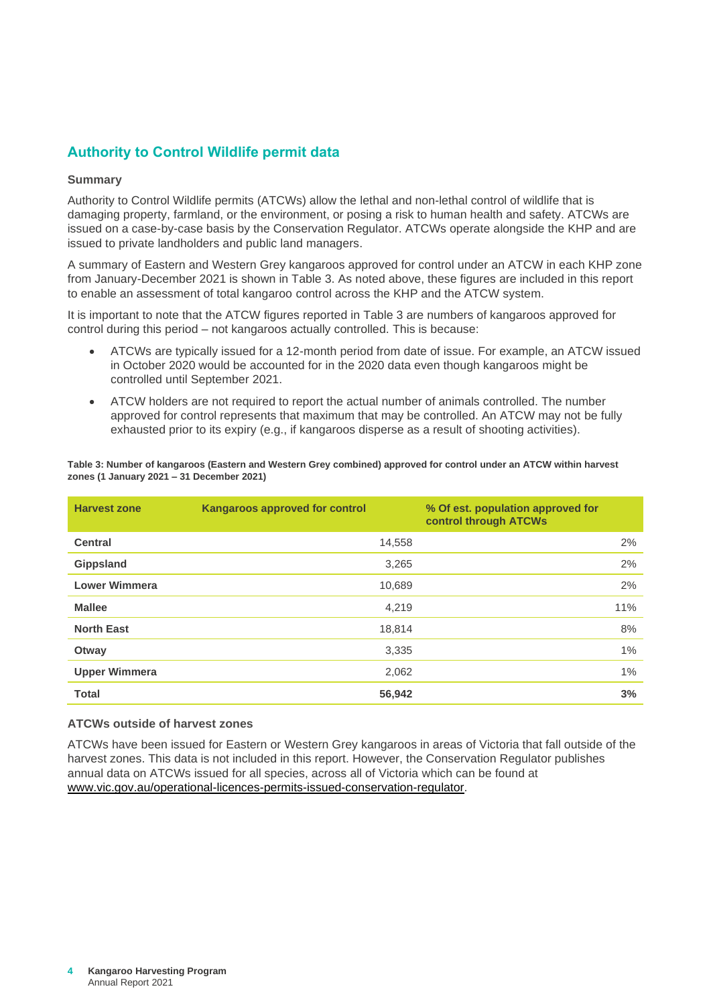# <span id="page-5-0"></span>**Authority to Control Wildlife permit data**

#### <span id="page-5-1"></span>**Summary**

Authority to Control Wildlife permits (ATCWs) allow the lethal and non-lethal control of wildlife that is damaging property, farmland, or the environment, or posing a risk to human health and safety. ATCWs are issued on a case-by-case basis by the Conservation Regulator. ATCWs operate alongside the KHP and are issued to private landholders and public land managers.

A summary of Eastern and Western Grey kangaroos approved for control under an ATCW in each KHP zone from January-December 2021 is shown in Table 3. As noted above, these figures are included in this report to enable an assessment of total kangaroo control across the KHP and the ATCW system.

It is important to note that the ATCW figures reported in Table 3 are numbers of kangaroos approved for control during this period – not kangaroos actually controlled. This is because:

- ATCWs are typically issued for a 12-month period from date of issue. For example, an ATCW issued in October 2020 would be accounted for in the 2020 data even though kangaroos might be controlled until September 2021.
- ATCW holders are not required to report the actual number of animals controlled. The number approved for control represents that maximum that may be controlled. An ATCW may not be fully exhausted prior to its expiry (e.g., if kangaroos disperse as a result of shooting activities).

| <b>Harvest zone</b>  | <b>Kangaroos approved for control</b> | % Of est. population approved for<br>control through ATCWs |
|----------------------|---------------------------------------|------------------------------------------------------------|
| <b>Central</b>       | 14,558                                | 2%                                                         |
| Gippsland            | 3,265                                 | 2%                                                         |
| <b>Lower Wimmera</b> | 10,689                                | 2%                                                         |
| <b>Mallee</b>        | 4,219                                 | 11%                                                        |
| <b>North East</b>    | 18,814                                | 8%                                                         |
| Otway                | 3,335                                 | 1%                                                         |
| <b>Upper Wimmera</b> | 2,062                                 | 1%                                                         |
| <b>Total</b>         | 56,942                                | 3%                                                         |

**Table 3: Number of kangaroos (Eastern and Western Grey combined) approved for control under an ATCW within harvest zones (1 January 2021 – 31 December 2021)**

#### <span id="page-5-2"></span>**ATCWs outside of harvest zones**

ATCWs have been issued for Eastern or Western Grey kangaroos in areas of Victoria that fall outside of the harvest zones. This data is not included in this report. However, the Conservation Regulator publishes annual data on ATCWs issued for all species, across all of Victoria which can be found at [www.vic.gov.au/operational-licences-permits-issued-conservation-regulator.](http://www.vic.gov.au/operational-licences-permits-issued-conservation-regulator)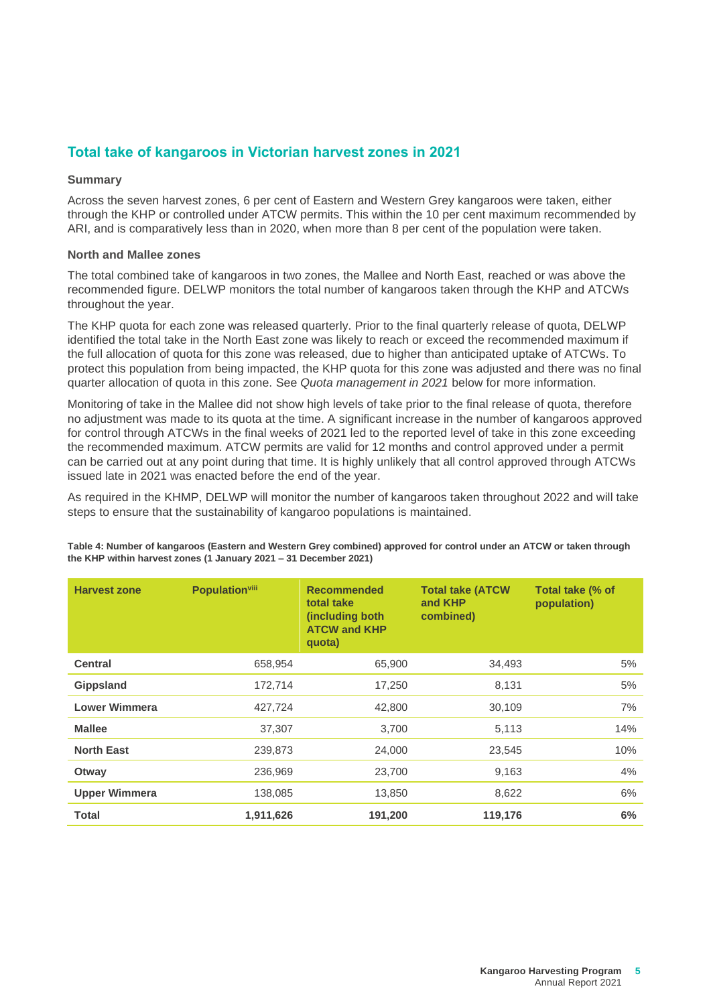# <span id="page-6-0"></span>**Total take of kangaroos in Victorian harvest zones in 2021**

#### <span id="page-6-1"></span>**Summary**

Across the seven harvest zones, 6 per cent of Eastern and Western Grey kangaroos were taken, either through the KHP or controlled under ATCW permits. This within the 10 per cent maximum recommended by ARI, and is comparatively less than in 2020, when more than 8 per cent of the population were taken.

### <span id="page-6-2"></span>**North and Mallee zones**

The total combined take of kangaroos in two zones, the Mallee and North East, reached or was above the recommended figure. DELWP monitors the total number of kangaroos taken through the KHP and ATCWs throughout the year.

The KHP quota for each zone was released quarterly. Prior to the final quarterly release of quota, DELWP identified the total take in the North East zone was likely to reach or exceed the recommended maximum if the full allocation of quota for this zone was released, due to higher than anticipated uptake of ATCWs. To protect this population from being impacted, the KHP quota for this zone was adjusted and there was no final quarter allocation of quota in this zone. See *Quota management in 2021* below for more information.

Monitoring of take in the Mallee did not show high levels of take prior to the final release of quota, therefore no adjustment was made to its quota at the time. A significant increase in the number of kangaroos approved for control through ATCWs in the final weeks of 2021 led to the reported level of take in this zone exceeding the recommended maximum. ATCW permits are valid for 12 months and control approved under a permit can be carried out at any point during that time. It is highly unlikely that all control approved through ATCWs issued late in 2021 was enacted before the end of the year.

As required in the KHMP, DELWP will monitor the number of kangaroos taken throughout 2022 and will take steps to ensure that the sustainability of kangaroo populations is maintained.

| <b>Harvest zone</b>  | <b>Population</b> viii | <b>Recommended</b><br>total take<br>(including both)<br><b>ATCW and KHP</b><br>quota) | <b>Total take (ATCW</b><br>and <b>KHP</b><br>combined) | Total take (% of<br>population) |
|----------------------|------------------------|---------------------------------------------------------------------------------------|--------------------------------------------------------|---------------------------------|
| <b>Central</b>       | 658,954                | 65,900                                                                                | 34,493                                                 | 5%                              |
| <b>Gippsland</b>     | 172,714                | 17,250                                                                                | 8,131                                                  | 5%                              |
| <b>Lower Wimmera</b> | 427,724                | 42,800                                                                                | 30,109                                                 | 7%                              |
| <b>Mallee</b>        | 37,307                 | 3,700                                                                                 | 5,113                                                  | 14%                             |
| <b>North East</b>    | 239,873                | 24,000                                                                                | 23,545                                                 | 10%                             |
| Otway                | 236,969                | 23,700                                                                                | 9,163                                                  | 4%                              |
| <b>Upper Wimmera</b> | 138,085                | 13,850                                                                                | 8,622                                                  | 6%                              |
| <b>Total</b>         | 1,911,626              | 191,200                                                                               | 119,176                                                | 6%                              |

**Table 4: Number of kangaroos (Eastern and Western Grey combined) approved for control under an ATCW or taken through the KHP within harvest zones (1 January 2021 – 31 December 2021)**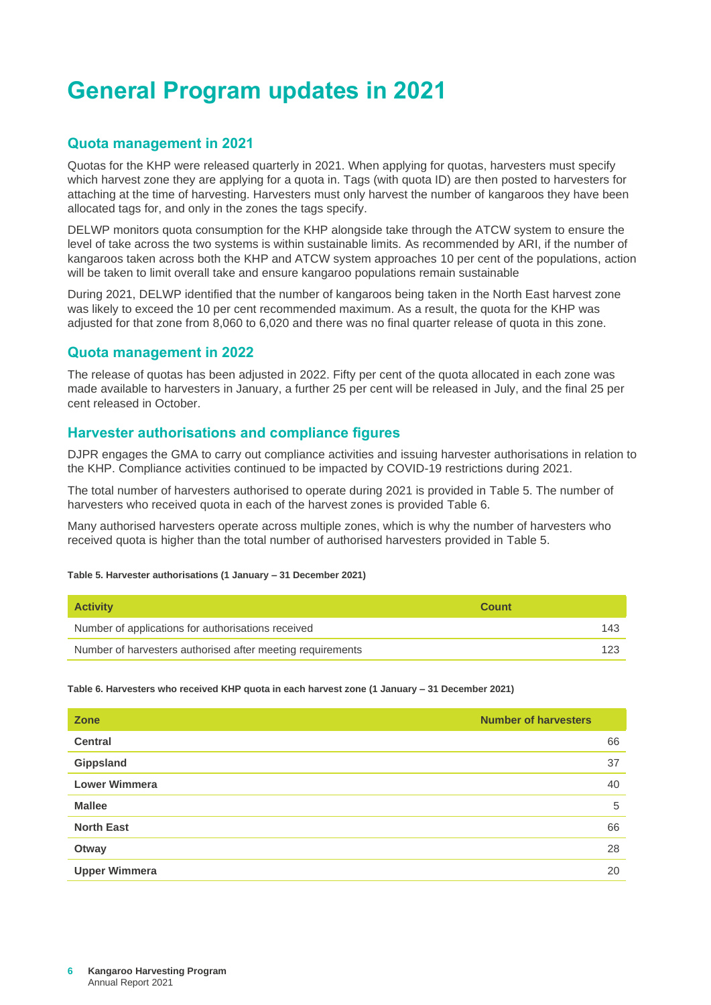# <span id="page-7-0"></span>**General Program updates in 2021**

# <span id="page-7-1"></span>**Quota management in 2021**

Quotas for the KHP were released quarterly in 2021. When applying for quotas, harvesters must specify which harvest zone they are applying for a quota in. Tags (with quota ID) are then posted to harvesters for attaching at the time of harvesting. Harvesters must only harvest the number of kangaroos they have been allocated tags for, and only in the zones the tags specify.

DELWP monitors quota consumption for the KHP alongside take through the ATCW system to ensure the level of take across the two systems is within sustainable limits. As recommended by ARI, if the number of kangaroos taken across both the KHP and ATCW system approaches 10 per cent of the populations, action will be taken to limit overall take and ensure kangaroo populations remain sustainable

During 2021, DELWP identified that the number of kangaroos being taken in the North East harvest zone was likely to exceed the 10 per cent recommended maximum. As a result, the quota for the KHP was adjusted for that zone from 8,060 to 6,020 and there was no final quarter release of quota in this zone.

## <span id="page-7-2"></span>**Quota management in 2022**

The release of quotas has been adjusted in 2022. Fifty per cent of the quota allocated in each zone was made available to harvesters in January, a further 25 per cent will be released in July, and the final 25 per cent released in October.

# <span id="page-7-3"></span>**Harvester authorisations and compliance figures**

DJPR engages the GMA to carry out compliance activities and issuing harvester authorisations in relation to the KHP. Compliance activities continued to be impacted by COVID-19 restrictions during 2021.

The total number of harvesters authorised to operate during 2021 is provided in Table 5. The number of harvesters who received quota in each of the harvest zones is provided Table 6.

Many authorised harvesters operate across multiple zones, which is why the number of harvesters who received quota is higher than the total number of authorised harvesters provided in Table 5.

#### **Table 5. Harvester authorisations (1 January – 31 December 2021)**

| <b>Activity</b>                                            | Count |
|------------------------------------------------------------|-------|
| Number of applications for authorisations received         | 143   |
| Number of harvesters authorised after meeting requirements | 123   |

**Table 6. Harvesters who received KHP quota in each harvest zone (1 January – 31 December 2021)**

| Zone                 | <b>Number of harvesters</b> |
|----------------------|-----------------------------|
| <b>Central</b>       | 66                          |
| Gippsland            | 37                          |
| <b>Lower Wimmera</b> | 40                          |
| <b>Mallee</b>        | 5                           |
| <b>North East</b>    | 66                          |
| Otway                | 28                          |
| <b>Upper Wimmera</b> | 20                          |
|                      |                             |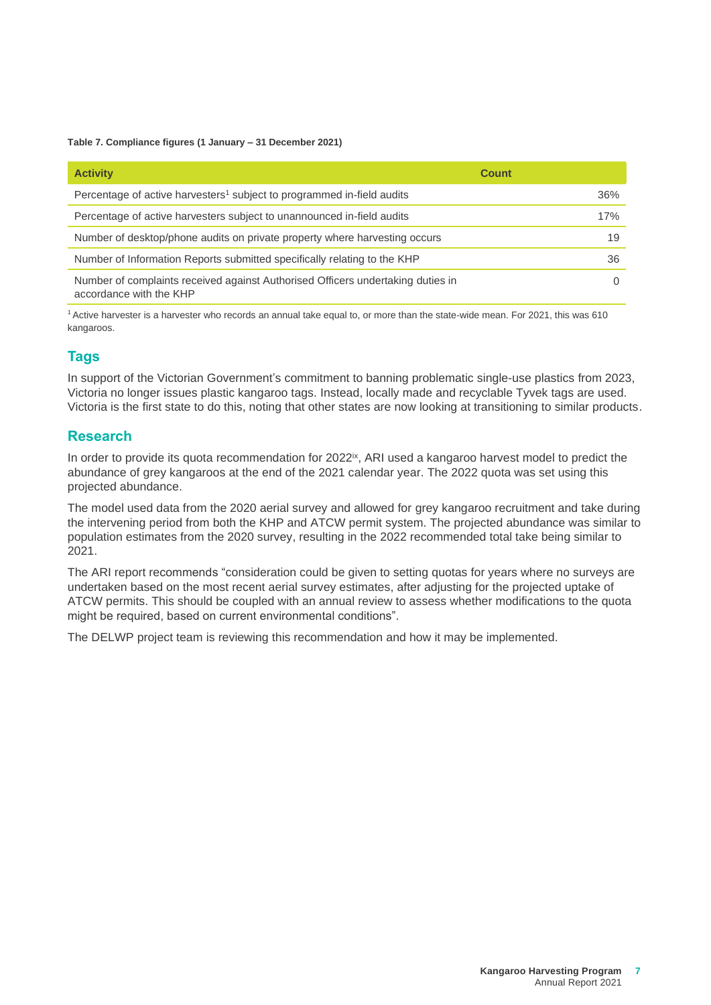**Table 7. Compliance figures (1 January – 31 December 2021)**

| <b>Activity</b>                                                                                            | <b>Count</b> |
|------------------------------------------------------------------------------------------------------------|--------------|
| Percentage of active harvesters <sup>1</sup> subject to programmed in-field audits                         | 36%          |
| Percentage of active harvesters subject to unannounced in-field audits                                     | 17%          |
| Number of desktop/phone audits on private property where harvesting occurs                                 | 19           |
| Number of Information Reports submitted specifically relating to the KHP                                   | 36           |
| Number of complaints received against Authorised Officers undertaking duties in<br>accordance with the KHP |              |

<sup>1</sup> Active harvester is a harvester who records an annual take equal to, or more than the state-wide mean. For 2021, this was 610 kangaroos.

# <span id="page-8-0"></span>**Tags**

In support of the Victorian Government's commitment to banning problematic single-use plastics from 2023, Victoria no longer issues plastic kangaroo tags. Instead, locally made and recyclable Tyvek tags are used. Victoria is the first state to do this, noting that other states are now looking at transitioning to similar products.

## <span id="page-8-1"></span>**Research**

In order to provide its quota recommendation for 2022<sup>ix</sup>, ARI used a kangaroo harvest model to predict the abundance of grey kangaroos at the end of the 2021 calendar year. The 2022 quota was set using this projected abundance.

The model used data from the 2020 aerial survey and allowed for grey kangaroo recruitment and take during the intervening period from both the KHP and ATCW permit system. The projected abundance was similar to population estimates from the 2020 survey, resulting in the 2022 recommended total take being similar to 2021.

The ARI report recommends "consideration could be given to setting quotas for years where no surveys are undertaken based on the most recent aerial survey estimates, after adjusting for the projected uptake of ATCW permits. This should be coupled with an annual review to assess whether modifications to the quota might be required, based on current environmental conditions".

The DELWP project team is reviewing this recommendation and how it may be implemented.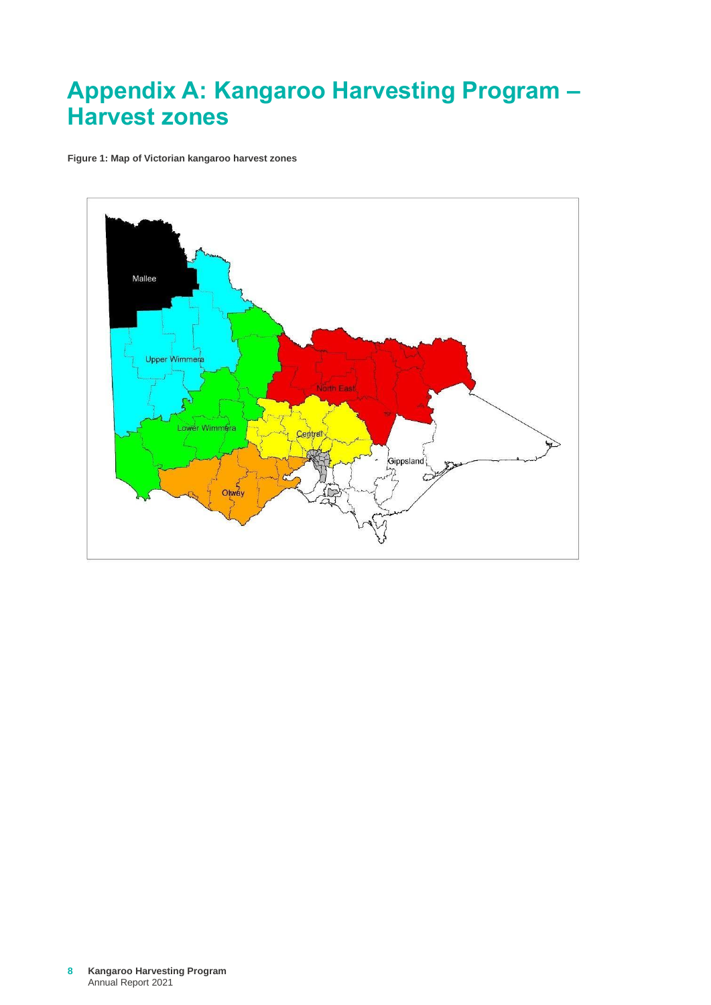# <span id="page-9-0"></span>**Appendix A: Kangaroo Harvesting Program – Harvest zones**

**Figure 1: Map of Victorian kangaroo harvest zones**

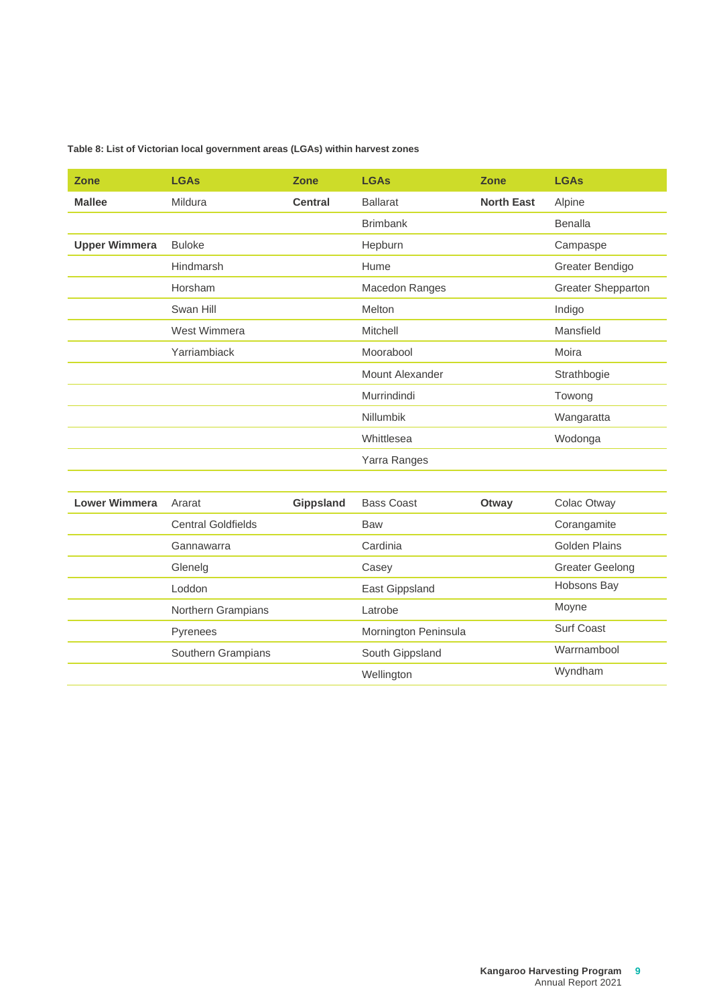| Table 8: List of Victorian local government areas (LGAs) within harvest zones |  |
|-------------------------------------------------------------------------------|--|
|-------------------------------------------------------------------------------|--|

| <b>Zone</b>          | <b>LGAs</b>      | <b>Zone</b>      | <b>LGAs</b>            | <b>Zone</b>       | <b>LGAs</b>               |
|----------------------|------------------|------------------|------------------------|-------------------|---------------------------|
| <b>Mallee</b>        | Mildura          | <b>Central</b>   | <b>Ballarat</b>        | <b>North East</b> | Alpine                    |
|                      |                  |                  | <b>Brimbank</b>        |                   | <b>Benalla</b>            |
| <b>Upper Wimmera</b> | <b>Buloke</b>    |                  | Hepburn                |                   | Campaspe                  |
|                      | <b>Hindmarsh</b> |                  | Hume                   |                   | Greater Bendigo           |
|                      | Horsham          |                  | Macedon Ranges         |                   | <b>Greater Shepparton</b> |
|                      | Swan Hill        |                  | Melton                 |                   | Indigo                    |
|                      | West Wimmera     |                  | Mitchell               |                   | Mansfield                 |
|                      | Yarriambiack     |                  | Moorabool              |                   | Moira                     |
|                      |                  |                  | <b>Mount Alexander</b> |                   | Strathbogie               |
|                      |                  |                  | Murrindindi            |                   | Towong                    |
|                      |                  |                  | <b>Nillumbik</b>       |                   | Wangaratta                |
|                      |                  |                  | Whittlesea             |                   | Wodonga                   |
|                      |                  |                  | Yarra Ranges           |                   |                           |
|                      |                  |                  |                        |                   |                           |
| <b>Lower Wimmera</b> | Ararat           | <b>Gippsland</b> | <b>Bass Coast</b>      | Otway             | Colac Otway               |

| Lower Wimmera | Ararat                    | <b>Gippsland</b> | <b>Bass Coast</b>    | Otway | Colac Otway            |
|---------------|---------------------------|------------------|----------------------|-------|------------------------|
|               | <b>Central Goldfields</b> |                  | <b>Baw</b>           |       | Corangamite            |
|               | Gannawarra                |                  | Cardinia             |       | Golden Plains          |
|               | Glenelg                   |                  | Casey                |       | <b>Greater Geelong</b> |
|               | Loddon                    |                  | East Gippsland       |       | Hobsons Bay            |
|               | Northern Grampians        |                  | Latrobe              |       | Moyne                  |
|               | Pyrenees                  |                  | Mornington Peninsula |       | Surf Coast             |
|               | Southern Grampians        |                  | South Gippsland      |       | Warrnambool            |
|               |                           |                  | Wellington           |       | Wyndham                |
|               |                           |                  |                      |       |                        |